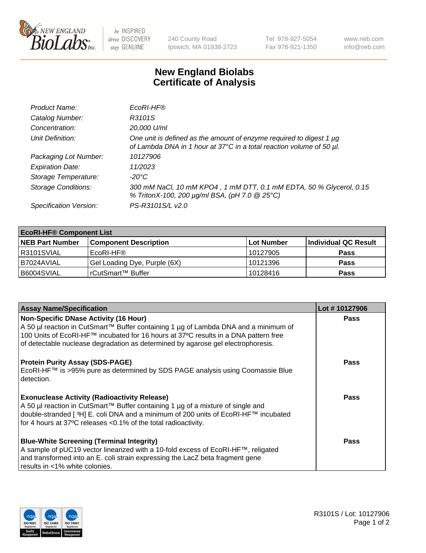

 $be$  INSPIRED drive DISCOVERY stay GENUINE

240 County Road Ipswich, MA 01938-2723 Tel 978-927-5054 Fax 978-921-1350 www.neb.com info@neb.com

## **New England Biolabs Certificate of Analysis**

| Product Name:              | EcoRI-HF®                                                                                                                                   |
|----------------------------|---------------------------------------------------------------------------------------------------------------------------------------------|
| Catalog Number:            | R3101S                                                                                                                                      |
| Concentration:             | 20,000 U/ml                                                                                                                                 |
| Unit Definition:           | One unit is defined as the amount of enzyme required to digest 1 µg<br>of Lambda DNA in 1 hour at 37°C in a total reaction volume of 50 µl. |
| Packaging Lot Number:      | 10127906                                                                                                                                    |
| <b>Expiration Date:</b>    | 11/2023                                                                                                                                     |
| Storage Temperature:       | $-20^{\circ}$ C                                                                                                                             |
| <b>Storage Conditions:</b> | 300 mM NaCl, 10 mM KPO4, 1 mM DTT, 0.1 mM EDTA, 50 % Glycerol, 0.15<br>% TritonX-100, 200 µg/ml BSA, (pH 7.0 @ 25°C)                        |
| Specification Version:     | PS-R3101S/L v2.0                                                                                                                            |

| <b>EcoRI-HF® Component List</b> |                              |                   |                      |  |  |
|---------------------------------|------------------------------|-------------------|----------------------|--|--|
| <b>NEB Part Number</b>          | <b>Component Description</b> | <b>Lot Number</b> | Individual QC Result |  |  |
| IR3101SVIAL                     | EcoRI-HF®                    | 10127905          | <b>Pass</b>          |  |  |
| B7024AVIAL                      | Gel Loading Dye, Purple (6X) | 10121396          | <b>Pass</b>          |  |  |
| B6004SVIAL                      | l rCutSmart™ Buffer          | 10128416          | <b>Pass</b>          |  |  |

| <b>Assay Name/Specification</b>                                                                                                                                                                                                                                                                 | Lot #10127906 |
|-------------------------------------------------------------------------------------------------------------------------------------------------------------------------------------------------------------------------------------------------------------------------------------------------|---------------|
| <b>Non-Specific DNase Activity (16 Hour)</b>                                                                                                                                                                                                                                                    | <b>Pass</b>   |
| A 50 µl reaction in CutSmart™ Buffer containing 1 µg of Lambda DNA and a minimum of<br>100 Units of EcoRI-HF™ incubated for 16 hours at 37°C results in a DNA pattern free<br>of detectable nuclease degradation as determined by agarose gel electrophoresis.                                  |               |
| <b>Protein Purity Assay (SDS-PAGE)</b><br>EcoRI-HF™ is >95% pure as determined by SDS PAGE analysis using Coomassie Blue<br>detection.                                                                                                                                                          | <b>Pass</b>   |
| <b>Exonuclease Activity (Radioactivity Release)</b><br>A 50 µl reaction in CutSmart™ Buffer containing 1 µg of a mixture of single and<br>double-stranded [3H] E. coli DNA and a minimum of 200 units of EcoRI-HF™ incubated<br>for 4 hours at 37°C releases < 0.1% of the total radioactivity. | Pass          |
| <b>Blue-White Screening (Terminal Integrity)</b><br>A sample of pUC19 vector linearized with a 10-fold excess of EcoRI-HF™, religated<br>and transformed into an E. coli strain expressing the LacZ beta fragment gene<br>l results in <1% white colonies.                                      | <b>Pass</b>   |